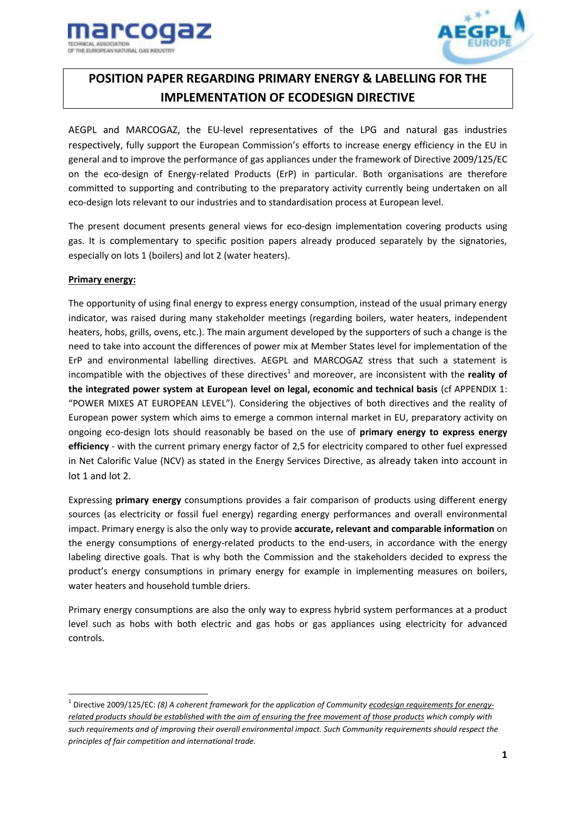



# **POSITION PAPER REGARDING PRIMARY ENERGY & LABELLING FOR THE IMPLEMENTATION OF ECODESIGN DIRECTIVE**

AEGPL and MARCOGAZ, the EU-level representatives of the LPG and natural gas industries respectively, fully support the European Commission's efforts to increase energy efficiency in the EU in general and to improve the performance of gas appliances under the framework of Directive 2009/125/EC on the eco-design of Energy-related Products (ErP) in particular. Both organisations are therefore committed to supporting and contributing to the preparatory activity currently being undertaken on all eco-design lots relevant to our industries and to standardisation process at European level.

The present document presents general views for eco-design implementation covering products using gas. It is complementary to specific position papers already produced separately by the signatories, especially on lots 1 (boilers) and lot 2 (water heaters).

# **Primary energy:**

.<br>-

The opportunity of using final energy to express energy consumption, instead of the usual primary energy indicator, was raised during many stakeholder meetings (regarding boilers, water heaters, independent heaters, hobs, grills, ovens, etc.). The main argument developed by the supporters of such a change is the need to take into account the differences of power mix at Member States level for implementation of the ErP and environmental labelling directives. AEGPL and MARCOGAZ stress that such a statement is incompatible with the objectives of these directives<sup>1</sup> and moreover, are inconsistent with the reality of **the integrated power system at European level on legal, economic and technical basis** (cf APPENDIX 1: "POWER MIXES AT EUROPEAN LEVEL"). Considering the objectives of both directives and the reality of European power system which aims to emerge a common internal market in EU, preparatory activity on ongoing eco-design lots should reasonably be based on the use of **primary energy to express energy efficiency** - with the current primary energy factor of 2,5 for electricity compared to other fuel expressed in Net Calorific Value (NCV) as stated in the Energy Services Directive, as already taken into account in lot 1 and lot 2.

Expressing **primary energy** consumptions provides a fair comparison of products using different energy sources (as electricity or fossil fuel energy) regarding energy performances and overall environmental impact. Primary energy is also the only way to provide **accurate, relevant and comparable information** on the energy consumptions of energy-related products to the end-users, in accordance with the energy labeling directive goals. That is why both the Commission and the stakeholders decided to express the product's energy consumptions in primary energy for example in implementing measures on boilers, water heaters and household tumble driers.

Primary energy consumptions are also the only way to express hybrid system performances at a product level such as hobs with both electric and gas hobs or gas appliances using electricity for advanced controls.

<sup>1</sup> Directive 2009/125/EC: *(8) A coherent framework for the application of Community ecodesign requirements for energyrelated products should be established with the aim of ensuring the free movement of those products which comply with such requirements and of improving their overall environmental impact. Such Community requirements should respect the principles of fair competition and international trade.*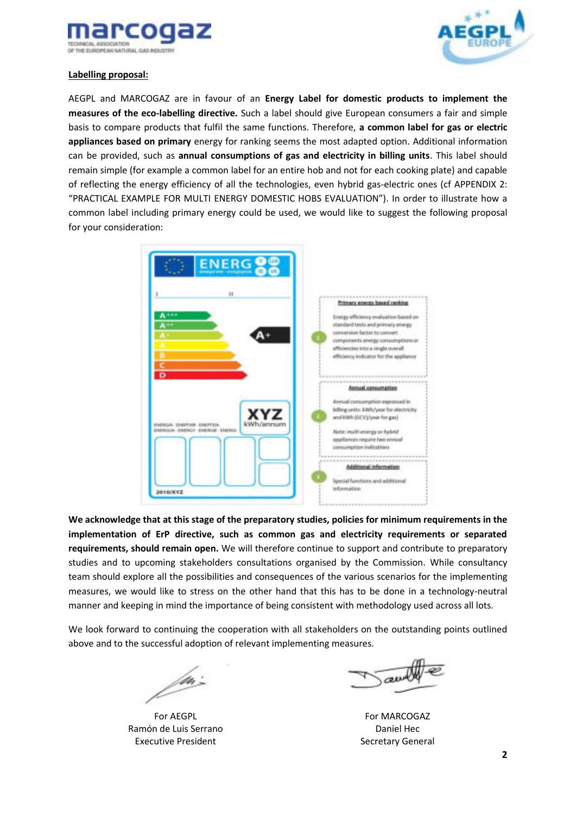



## **Labelling proposal:**

AEGPL and MARCOGAZ are in favour of an **Energy Label for domestic products to implement the measures of the eco-labelling directive.** Such a label should give European consumers a fair and simple basis to compare products that fulfil the same functions. Therefore, **a common label for gas or electric appliances based on primary** energy for ranking seems the most adapted option. Additional information can be provided, such as **annual consumptions of gas and electricity in billing units**. This label should remain simple (for example a common label for an entire hob and not for each cooking plate) and capable of reflecting the energy efficiency of all the technologies, even hybrid gas-electric ones (cf APPENDIX 2: "PRACTICAL EXAMPLE FOR MULTI ENERGY DOMESTIC HOBS EVALUATION"). In order to illustrate how a common label including primary energy could be used, we would like to suggest the following proposal for your consideration:



**We acknowledge that at this stage of the preparatory studies, policies for minimum requirements in the implementation of ErP directive, such as common gas and electricity requirements or separated requirements, should remain open.** We will therefore continue to support and contribute to preparatory studies and to upcoming stakeholders consultations organised by the Commission. While consultancy team should explore all the possibilities and consequences of the various scenarios for the implementing measures, we would like to stress on the other hand that this has to be done in a technology-neutral manner and keeping in mind the importance of being consistent with methodology used across all lots.

We look forward to continuing the cooperation with all stakeholders on the outstanding points outlined above and to the successful adoption of relevant implementing measures.

/m:

For AEGPL Ramón de Luis Serrano Executive President

authe

For MARCOGAZ Daniel Hec Secretary General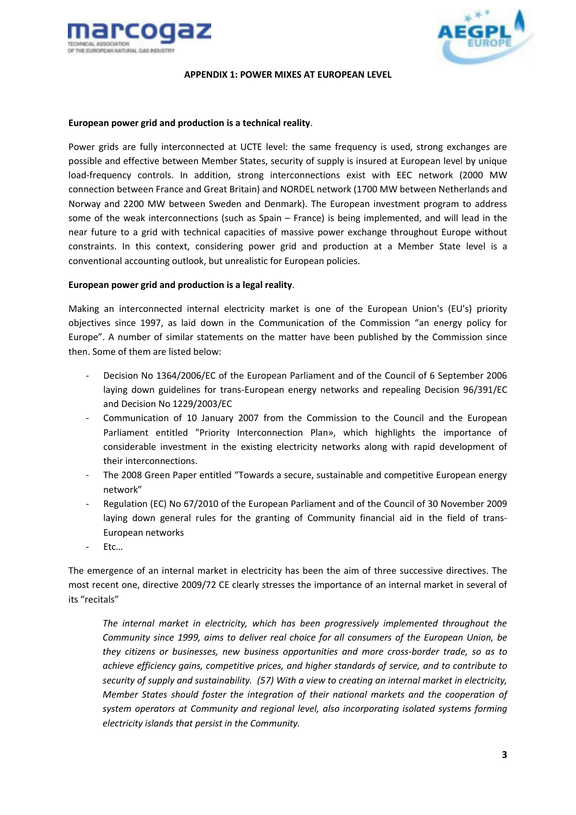



#### **APPENDIX 1: POWER MIXES AT EUROPEAN LEVEL**

#### **European power grid and production is a technical reality**.

Power grids are fully interconnected at UCTE level: the same frequency is used, strong exchanges are possible and effective between Member States, security of supply is insured at European level by unique load-frequency controls. In addition, strong interconnections exist with EEC network (2000 MW connection between France and Great Britain) and NORDEL network (1700 MW between Netherlands and Norway and 2200 MW between Sweden and Denmark). The European investment program to address some of the weak interconnections (such as Spain – France) is being implemented, and will lead in the near future to a grid with technical capacities of massive power exchange throughout Europe without constraints. In this context, considering power grid and production at a Member State level is a conventional accounting outlook, but unrealistic for European policies.

## **European power grid and production is a legal reality**.

Making an interconnected internal electricity market is one of the European Union's (EU's) priority objectives since 1997, as laid down in the Communication of the Commission "an energy policy for Europe". A number of similar statements on the matter have been published by the Commission since then. Some of them are listed below:

- Decision No [1364/2006/EC](http://eur-lex.europa.eu/smartapi/cgi/sga_doc?smartapi!celexplus!prod!DocNumber&lg=en&type_doc=Decision&an_doc=2006&nu_doc=1364) of the European Parliament and of the Council of 6 September 2006 laying down guidelines for trans-European energy networks and repealing Decision [96/391/EC](http://eur-lex.europa.eu/smartapi/cgi/sga_doc?smartapi!celexplus!prod!DocNumber&lg=en&type_doc=Decision&an_doc=1996&nu_doc=391)  and Decision N[o 1229/2003/EC](http://eur-lex.europa.eu/smartapi/cgi/sga_doc?smartapi!celexplus!prod!DocNumber&lg=en&type_doc=Decision&an_doc=2003&nu_doc=1229)
- Communication of 10 January 2007 from the Commission to the Council and the European Parliament entitled "Priority Interconnection Plan», which highlights the importance of considerable investment in the existing electricity networks along with rapid development of their interconnections.
- The 2008 Green Paper entitled "Towards a secure, sustainable and competitive European energy network"
- Regulation (EC) No [67/2010](http://eur-lex.europa.eu/LexUriServ/LexUriServ.do?uri=CELEX:32010R0067:EN:NOT) of the European Parliament and of the Council of 30 November 2009 laying down general rules for the granting of Community financial aid in the field of trans-European networks
- Etc…

The emergence of an internal market in electricity has been the aim of three successive directives. The most recent one, directive 2009/72 CE clearly stresses the importance of an internal market in several of its "recitals"

*The internal market in electricity, which has been progressively implemented throughout the Community since 1999, aims to deliver real choice for all consumers of the European Union, be they citizens or businesses, new business opportunities and more cross-border trade, so as to achieve efficiency gains, competitive prices, and higher standards of service, and to contribute to security of supply and sustainability. (57) With a view to creating an internal market in electricity, Member States should foster the integration of their national markets and the cooperation of system operators at Community and regional level, also incorporating isolated systems forming electricity islands that persist in the Community.*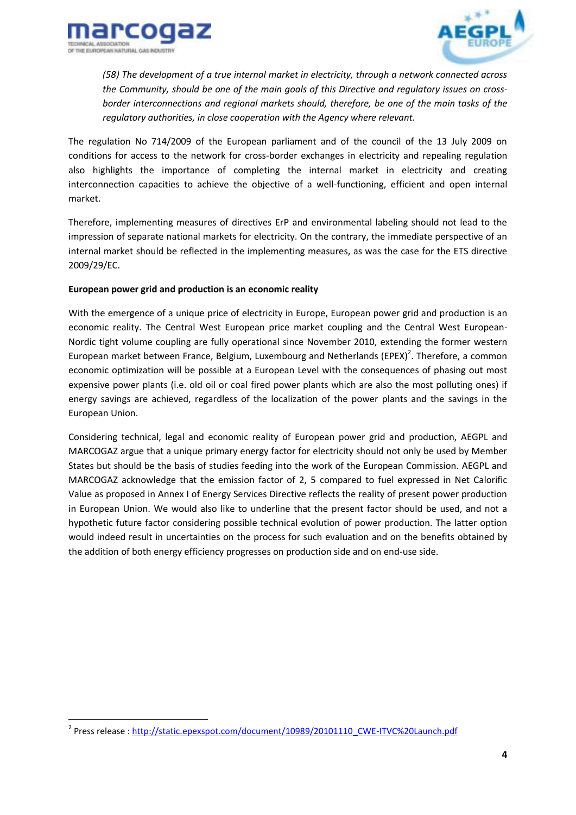



*(58) The development of a true internal market in electricity, through a network connected across the Community, should be one of the main goals of this Directive and regulatory issues on crossborder interconnections and regional markets should, therefore, be one of the main tasks of the regulatory authorities, in close cooperation with the Agency where relevant.* 

The regulation No 714/2009 of the European parliament and of the council of the 13 July 2009 on conditions for access to the network for cross-border exchanges in electricity and repealing regulation also highlights the importance of completing the internal market in electricity and creating interconnection capacities to achieve the objective of a well-functioning, efficient and open internal market.

Therefore, implementing measures of directives ErP and environmental labeling should not lead to the impression of separate national markets for electricity. On the contrary, the immediate perspective of an internal market should be reflected in the implementing measures, as was the case for the ETS directive 2009/29/EC.

## **European power grid and production is an economic reality**

With the emergence of a unique price of electricity in Europe, European power grid and production is an economic reality. The Central West European price market coupling and the Central West European-Nordic tight volume coupling are fully operational since November 2010, extending the former western European market between France, Belgium, Luxembourg and Netherlands (EPEX)<sup>2</sup>. Therefore, a common economic optimization will be possible at a European Level with the consequences of phasing out most expensive power plants (i.e. old oil or coal fired power plants which are also the most polluting ones) if energy savings are achieved, regardless of the localization of the power plants and the savings in the European Union.

Considering technical, legal and economic reality of European power grid and production, AEGPL and MARCOGAZ argue that a unique primary energy factor for electricity should not only be used by Member States but should be the basis of studies feeding into the work of the European Commission. AEGPL and MARCOGAZ acknowledge that the emission factor of 2, 5 compared to fuel expressed in Net Calorific Value as proposed in Annex I of Energy Services Directive reflects the reality of present power production in European Union. We would also like to underline that the present factor should be used, and not a hypothetic future factor considering possible technical evolution of power production. The latter option would indeed result in uncertainties on the process for such evaluation and on the benefits obtained by the addition of both energy efficiency progresses on production side and on end-use side.

<u>.</u>

<sup>&</sup>lt;sup>2</sup> Press release : <u>http://static.epexspot.com/document/10989/20101110\_CWE-ITVC%20Launch.pdf</u>